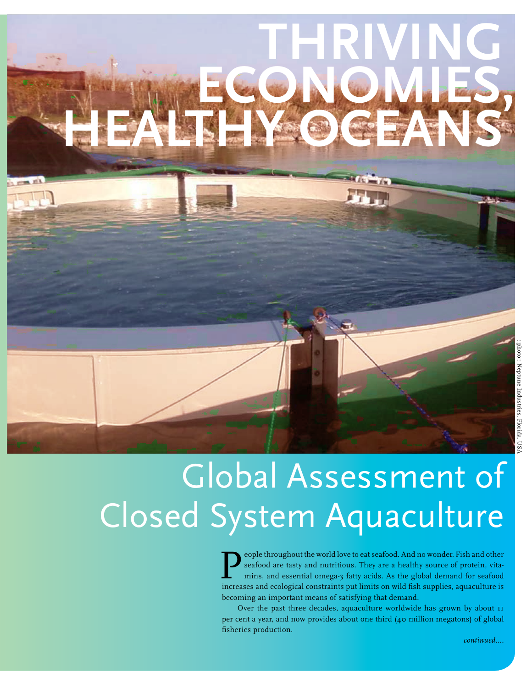# **Thriving economies, healthy oceans**

## Global Assessment of Closed System Aquaculture

eople throughout the world love to eat seafood. And no wonder. Fish and other seafood are tasty and nutritious. They are a healthy source of protein, vitamins, and essential omega-3 fatty acids. As the global demand for seafood increases and ecological constraints put limits on wild fish supplies, aquaculture is becoming an important means of satisfying that demand.

Over the past three decades, aquaculture worldwide has grown by about 11 per cent a year, and now provides about one third (40 million megatons) of global fisheries production.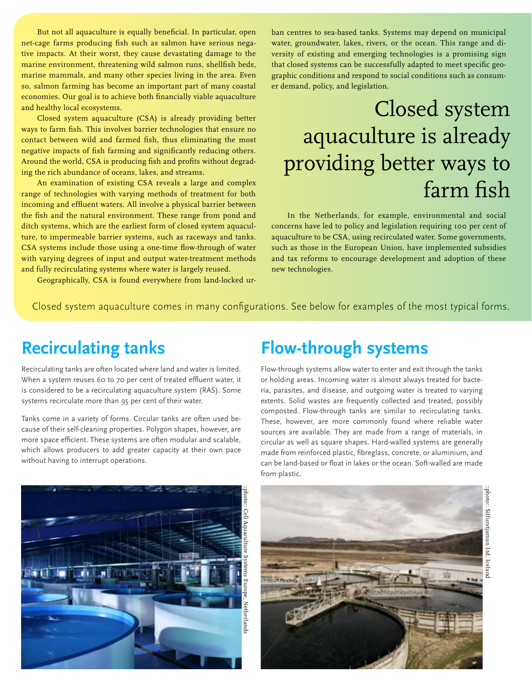But not all aquaculture is equally beneficial. In particular, open net-cage farms producing fish such as salmon have serious negative impacts. At their worst, they cause devastating damage to the marine environment, threatening wild salmon runs, shellfish beds, marine mammals, and many other species living in the area. Even so, salmon farming has become an important part of many coastal economies. Our goal is to achieve both financially viable aquaculture and healthy local ecosystems.

Closed system aquaculture (CSA) is already providing better ways to farm fish. This involves barrier technologies that ensure no contact between wild and farmed fish, thus eliminating the most negative impacts of fish farming and significantly reducing others. Around the world, CSA is producing fish and profits without degrading the rich abundance of oceans, lakes, and streams.

An examination of existing CSA reveals a large and complex range of technologies with varying methods of treatment for both incoming and effluent waters. All involve a physical barrier between the fish and the natural environment. These range from pond and ditch systems, which are the earliest form of closed system aquaculture, to impermeable barrier systems, such as raceways and tanks. CSA systems include those using a one-time flow-through of water with varying degrees of input and output water-treatment methods and fully recirculating systems where water is largely reused.

Geographically, CSA is found everywhere from land-locked ur-

ban centres to sea-based tanks. Systems may depend on municipal water, groundwater, lakes, rivers, or the ocean. This range and diversity of existing and emerging technologies is a promising sign that closed systems can be successfully adapted to meet specific geographic conditions and respond to social conditions such as consumer demand, policy, and legislation.

### Closed system aquaculture is already providing better ways to farm fish

In the Netherlands, for example, environmental and social concerns have led to policy and legislation requiring 100 per cent of aquaculture to be CSA, using recirculated water. Some governments, such as those in the European Union, have implemented subsidies and tax reforms to encourage development and adoption of these new technologies.

Closed system aquaculture comes in many configurations. See below for examples of the most typical forms.

#### **Recirculating tanks**

Recirculating tanks are often located where land and water is limited. When a system reuses 60 to 70 per cent of treated effluent water, it is considered to be a recirculating aquaculture system (RAS). Some systems recirculate more than 95 per cent of their water.

Tanks come in a variety of forms. Circular tanks are often used because of their self-cleaning properties. Polygon shapes, however, are more space efficient. These systems are often modular and scalable, which allows producers to add greater capacity at their own pace without having to interrupt operations.

#### **Flow-through systems**

Flow-through systems allow water to enter and exit through the tanks or holding areas. Incoming water is almost always treated for bacteria, parasites, and disease, and outgoing water is treated to varying extents. Solid wastes are frequently collected and treated, possibly composted. Flow-through tanks are similar to recirculating tanks. These, however, are more commonly found where reliable water sources are available. They are made from a range of materials, in circular as well as square shapes. Hard-walled systems are generally made from reinforced plastic, fibreglass, concrete, or aluminium, and can be land-based or float in lakes or the ocean. Soft-walled are made from plastic.



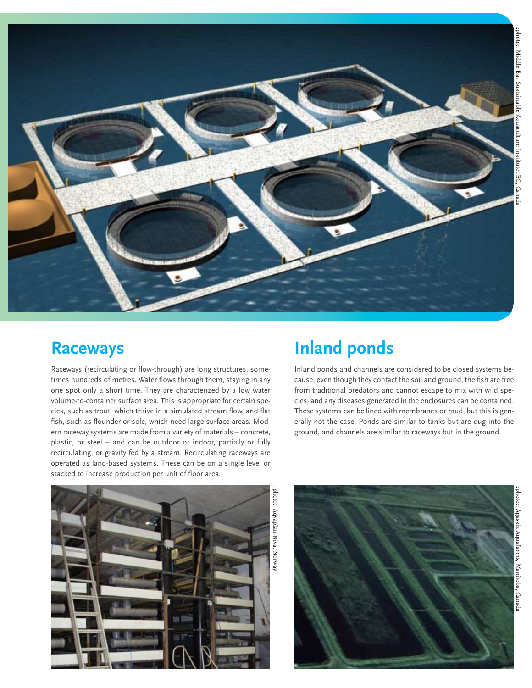

#### **Raceways**

Raceways (recirculating or flow-through) are long structures, sometimes hundreds of metres. Water flows through them, staying in any one spot only a short time. They are characterized by a low water volume-to-container surface area. This is appropriate for certain species, such as trout, which thrive in a simulated stream flow, and flat fish, such as flounder or sole, which need large surface areas. Modern raceway systems are made from a variety of materials – concrete, plastic, or steel – and can be outdoor or indoor, partially or fully recirculating, or gravity fed by a stream. Recirculating raceways are operated as land-based systems. These can be on a single level or stacked to increase production per unit of floor area.

#### **Inland ponds**

Inland ponds and channels are considered to be closed systems because, even though they contact the soil and ground, the fish are free from traditional predators and cannot escape to mix with wild species, and any diseases generated in the enclosures can be contained. These systems can be lined with membranes or mud, but this is generally not the case. Ponds are similar to tanks but are dug into the ground, and channels are similar to raceways but in the ground.